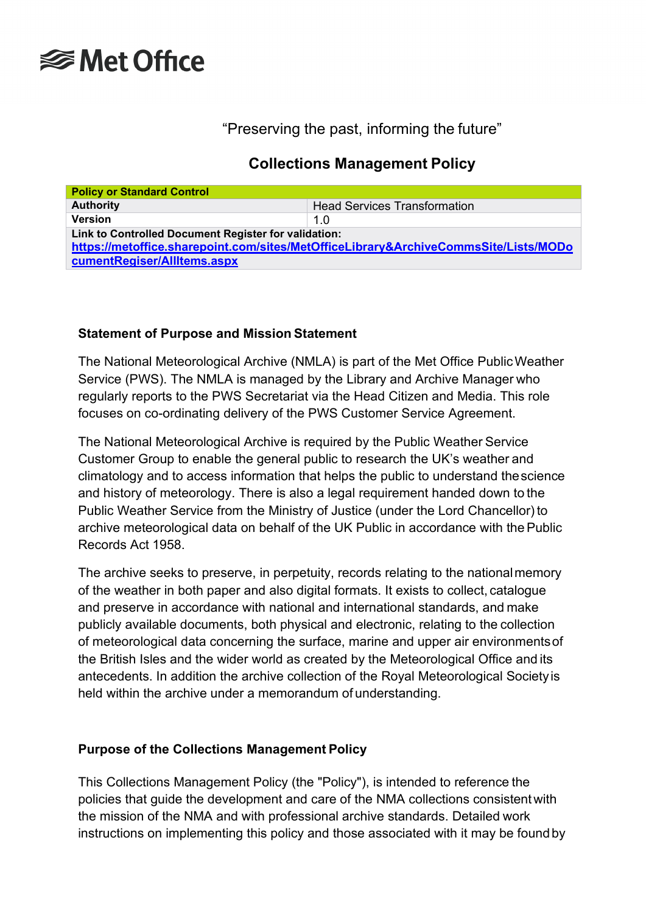

# "Preserving the past, informing the future"

# **Collections Management Policy**

| <b>Policy or Standard Control</b>                                                                                                           |                                     |  |
|---------------------------------------------------------------------------------------------------------------------------------------------|-------------------------------------|--|
| <b>Authority</b>                                                                                                                            | <b>Head Services Transformation</b> |  |
| <b>Version</b>                                                                                                                              | 1.0                                 |  |
| Link to Controlled Document Register for validation:<br>https://metoffice.sharepoint.com/sites/MetOfficeLibrary&ArchiveCommsSite/Lists/MODo |                                     |  |
| cumentRegiser/AllItems.aspx                                                                                                                 |                                     |  |

## **Statement of Purpose and Mission Statement**

The National Meteorological Archive (NMLA) is part of the Met Office PublicWeather Service (PWS). The NMLA is managed by the Library and Archive Manager who regularly reports to the PWS Secretariat via the Head Citizen and Media. This role focuses on co-ordinating delivery of the PWS Customer Service Agreement.

The National Meteorological Archive is required by the Public Weather Service Customer Group to enable the general public to research the UK's weather and climatology and to access information that helps the public to understand thescience and history of meteorology. There is also a legal requirement handed down to the Public Weather Service from the Ministry of Justice (under the Lord Chancellor) to archive meteorological data on behalf of the UK Public in accordance with the Public Records Act 1958.

The archive seeks to preserve, in perpetuity, records relating to the nationalmemory of the weather in both paper and also digital formats. It exists to collect, catalogue and preserve in accordance with national and international standards, and make publicly available documents, both physical and electronic, relating to the collection of meteorological data concerning the surface, marine and upper air environmentsof the British Isles and the wider world as created by the Meteorological Office and its antecedents. In addition the archive collection of the Royal Meteorological Societyis held within the archive under a memorandum of understanding.

#### **Purpose of the Collections Management Policy**

This Collections Management Policy (the "Policy"), is intended to reference the policies that guide the development and care of the NMA collections consistentwith the mission of the NMA and with professional archive standards. Detailed work instructions on implementing this policy and those associated with it may be foundby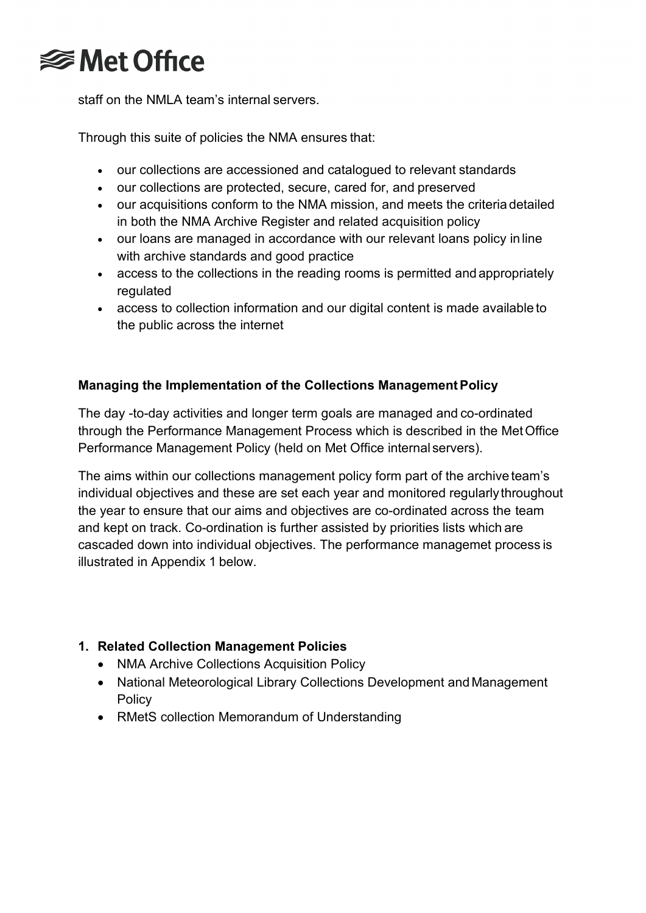

staff on the NMLA team's internal servers.

Through this suite of policies the NMA ensures that:

- our collections are accessioned and catalogued to relevant standards
- our collections are protected, secure, cared for, and preserved
- our acquisitions conform to the NMA mission, and meets the criteria detailed in both the NMA Archive Register and related acquisition policy
- our loans are managed in accordance with our relevant loans policy in line with archive standards and good practice
- access to the collections in the reading rooms is permitted and appropriately regulated
- access to collection information and our digital content is made available to the public across the internet

## **Managing the Implementation of the Collections ManagementPolicy**

The day -to-day activities and longer term goals are managed and co-ordinated through the Performance Management Process which is described in the MetOffice Performance Management Policy (held on Met Office internal servers).

The aims within our collections management policy form part of the archive team's individual objectives and these are set each year and monitored regularlythroughout the year to ensure that our aims and objectives are co-ordinated across the team and kept on track. Co-ordination is further assisted by priorities lists which are cascaded down into individual objectives. The performance managemet process is illustrated in Appendix 1 below.

## **1. Related Collection Management Policies**

- NMA Archive Collections Acquisition Policy
- National Meteorological Library Collections Development and Management Policy
- RMetS collection Memorandum of Understanding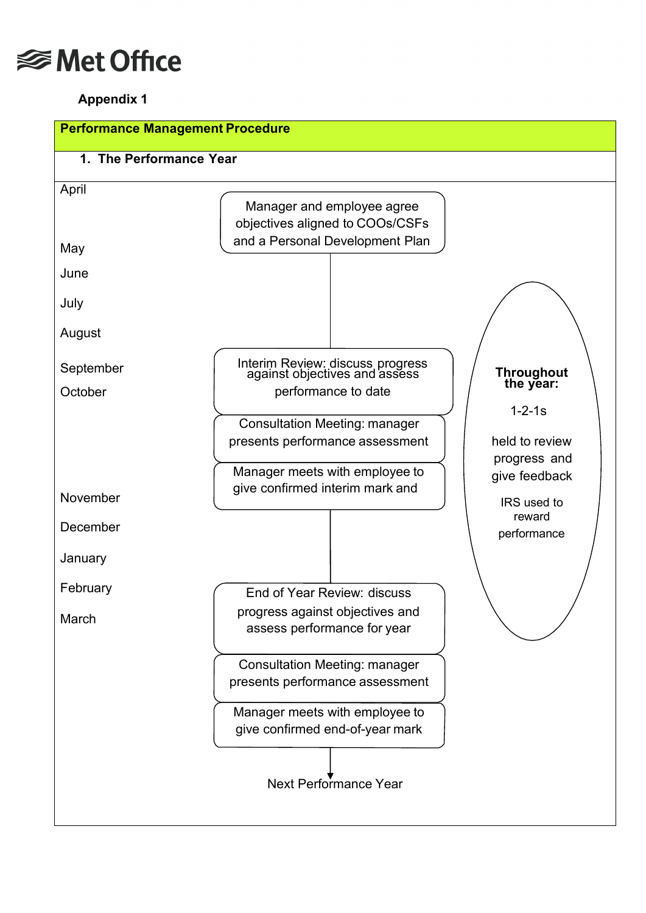

## **Appendix 1**